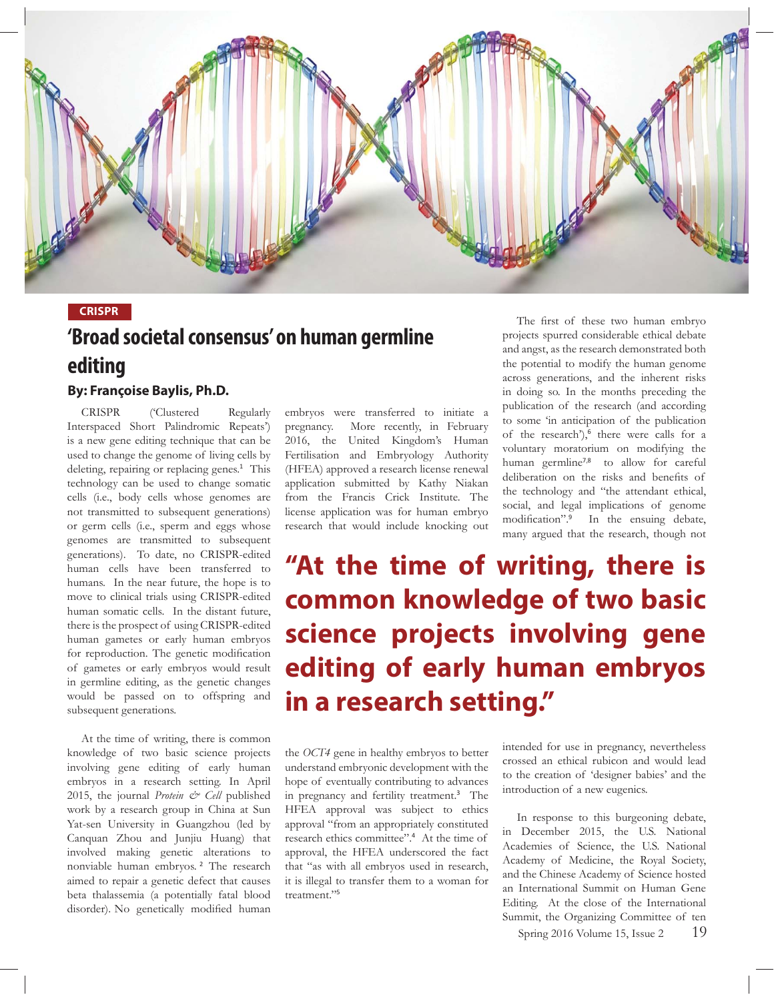

## **CRISPR**

# **'Broad societal consensus' on human germline editing**

# **By: Françoise Baylis, Ph.D.**

 CRISPR ('Clustered Regularly Interspaced Short Palindromic Repeats') is a new gene editing technique that can be used to change the genome of living cells by deleting, repairing or replacing genes.<sup>1</sup> This technology can be used to change somatic cells (i.e., body cells whose genomes are not transmitted to subsequent generations) or germ cells (i.e., sperm and eggs whose genomes are transmitted to subsequent generations). To date, no CRISPR-edited human cells have been transferred to humans. In the near future, the hope is to move to clinical trials using CRISPR-edited human somatic cells. In the distant future, there is the prospect of using CRISPR-edited human gametes or early human embryos for reproduction. The genetic modification of gametes or early embryos would result in germline editing, as the genetic changes would be passed on to offspring and subsequent generations.

 At the time of writing, there is common knowledge of two basic science projects involving gene editing of early human embryos in a research setting. In April 2015, the journal *Protein & Cell* published work by a research group in China at Sun Yat-sen University in Guangzhou (led by Canquan Zhou and Junjiu Huang) that involved making genetic alterations to nonviable human embryos.<sup>2</sup> The research aimed to repair a genetic defect that causes beta thalassemia (a potentially fatal blood disorder). No genetically modified human

embryos were transferred to initiate a pregnancy. More recently, in February 2016, the United Kingdom's Human Fertilisation and Embryology Authority (HFEA) approved a research license renewal application submitted by Kathy Niakan from the Francis Crick Institute. The license application was for human embryo research that would include knocking out

The first of these two human embryo projects spurred considerable ethical debate and angst, as the research demonstrated both the potential to modify the human genome across generations, and the inherent risks in doing so. In the months preceding the publication of the research (and according to some 'in anticipation of the publication of the research'),<sup>6</sup> there were calls for a voluntary moratorium on modifying the human germline<sup>7,8</sup> to allow for careful deliberation on the risks and benefits of the technology and "the attendant ethical, social, and legal implications of genome modification".<sup>9</sup> In the ensuing debate, many argued that the research, though not

**"At the time of writing, there is common knowledge of two basic science projects involving gene editing of early human embryos in a research setting."**

the *OCT4* gene in healthy embryos to better understand embryonic development with the hope of eventually contributing to advances in pregnancy and fertility treatment.<sup>3</sup> The HFEA approval was subject to ethics approval "from an appropriately constituted research ethics committee".<sup>4</sup> At the time of approval, the HFEA underscored the fact that "as with all embryos used in research, it is illegal to transfer them to a woman for treatment."<sup>5</sup>

intended for use in pregnancy, nevertheless crossed an ethical rubicon and would lead to the creation of 'designer babies' and the introduction of a new eugenics.

 In response to this burgeoning debate, in December 2015, the U.S. National Academies of Science, the U.S. National Academy of Medicine, the Royal Society, and the Chinese Academy of Science hosted an International Summit on Human Gene Editing. At the close of the International Summit, the Organizing Committee of ten

Spring 2016 Volume 15, Issue  $2 \qquad 19$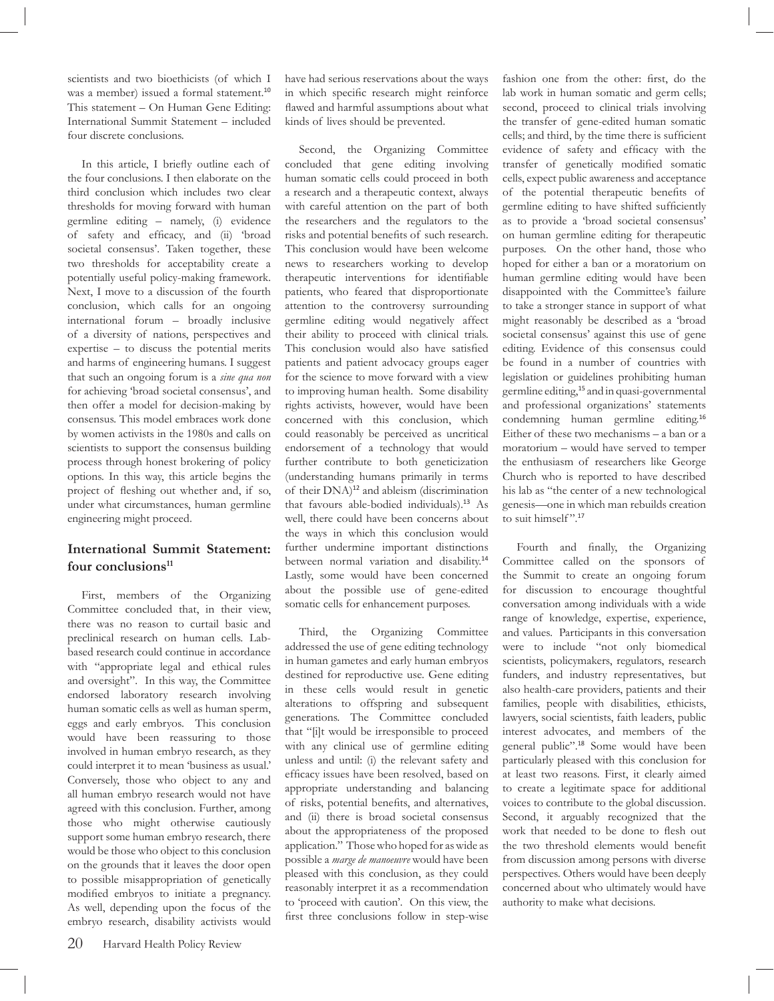scientists and two bioethicists (of which I was a member) issued a formal statement.<sup>10</sup> This statement – On Human Gene Editing: International Summit Statement – included four discrete conclusions.

In this article, I briefly outline each of the four conclusions. I then elaborate on the third conclusion which includes two clear thresholds for moving forward with human germline editing – namely, (i) evidence of safety and efficacy, and (ii) 'broad societal consensus'. Taken together, these two thresholds for acceptability create a potentially useful policy-making framework. Next, I move to a discussion of the fourth conclusion, which calls for an ongoing international forum – broadly inclusive of a diversity of nations, perspectives and expertise – to discuss the potential merits and harms of engineering humans. I suggest that such an ongoing forum is a *sine qua non* for achieving 'broad societal consensus', and then offer a model for decision-making by consensus. This model embraces work done by women activists in the 1980s and calls on scientists to support the consensus building process through honest brokering of policy options. In this way, this article begins the project of fleshing out whether and, if so, under what circumstances, human germline engineering might proceed.

### **International Summit Statement:**  four conclusions<sup>11</sup>

 First, members of the Organizing Committee concluded that, in their view, there was no reason to curtail basic and preclinical research on human cells. Labbased research could continue in accordance with "appropriate legal and ethical rules and oversight". In this way, the Committee endorsed laboratory research involving human somatic cells as well as human sperm, eggs and early embryos. This conclusion would have been reassuring to those involved in human embryo research, as they could interpret it to mean 'business as usual.' Conversely, those who object to any and all human embryo research would not have agreed with this conclusion. Further, among those who might otherwise cautiously support some human embryo research, there would be those who object to this conclusion on the grounds that it leaves the door open to possible misappropriation of genetically modified embryos to initiate a pregnancy. As well, depending upon the focus of the embryo research, disability activists would

have had serious reservations about the ways in which specific research might reinforce flawed and harmful assumptions about what kinds of lives should be prevented.

 Second, the Organizing Committee concluded that gene editing involving human somatic cells could proceed in both a research and a therapeutic context, always with careful attention on the part of both the researchers and the regulators to the risks and potential benefits of such research. This conclusion would have been welcome news to researchers working to develop therapeutic interventions for identifiable patients, who feared that disproportionate attention to the controversy surrounding germline editing would negatively affect their ability to proceed with clinical trials. This conclusion would also have satisfied patients and patient advocacy groups eager for the science to move forward with a view to improving human health. Some disability rights activists, however, would have been concerned with this conclusion, which could reasonably be perceived as uncritical endorsement of a technology that would further contribute to both geneticization (understanding humans primarily in terms of their DNA)<sup>12</sup> and ableism (discrimination that favours able-bodied individuals).<sup>13</sup> As well, there could have been concerns about the ways in which this conclusion would further undermine important distinctions between normal variation and disability.<sup>14</sup> Lastly, some would have been concerned about the possible use of gene-edited somatic cells for enhancement purposes.

 Third, the Organizing Committee addressed the use of gene editing technology in human gametes and early human embryos destined for reproductive use. Gene editing in these cells would result in genetic alterations to offspring and subsequent generations. The Committee concluded that "[i]t would be irresponsible to proceed with any clinical use of germline editing unless and until: (i) the relevant safety and efficacy issues have been resolved, based on appropriate understanding and balancing of risks, potential benefits, and alternatives, and (ii) there is broad societal consensus about the appropriateness of the proposed application." Those who hoped for as wide as possible a *marge de manoeuvre* would have been pleased with this conclusion, as they could reasonably interpret it as a recommendation to 'proceed with caution'. On this view, the first three conclusions follow in step-wise

fashion one from the other: first, do the lab work in human somatic and germ cells; second, proceed to clinical trials involving the transfer of gene-edited human somatic cells; and third, by the time there is sufficient evidence of safety and efficacy with the transfer of genetically modified somatic cells, expect public awareness and acceptance of the potential therapeutic benefits of germline editing to have shifted sufficiently as to provide a 'broad societal consensus' on human germline editing for therapeutic purposes. On the other hand, those who hoped for either a ban or a moratorium on human germline editing would have been disappointed with the Committee's failure to take a stronger stance in support of what might reasonably be described as a 'broad societal consensus' against this use of gene editing. Evidence of this consensus could be found in a number of countries with legislation or guidelines prohibiting human germline editing,<sup>15</sup> and in quasi-governmental and professional organizations' statements condemning human germline editing.<sup>16</sup> Either of these two mechanisms – a ban or a moratorium – would have served to temper the enthusiasm of researchers like George Church who is reported to have described his lab as "the center of a new technological genesis—one in which man rebuilds creation to suit himself".<sup>17</sup>

Fourth and finally, the Organizing Committee called on the sponsors of the Summit to create an ongoing forum for discussion to encourage thoughtful conversation among individuals with a wide range of knowledge, expertise, experience, and values. Participants in this conversation were to include "not only biomedical scientists, policymakers, regulators, research funders, and industry representatives, but also health-care providers, patients and their families, people with disabilities, ethicists, lawyers, social scientists, faith leaders, public interest advocates, and members of the general public".<sup>18</sup> Some would have been particularly pleased with this conclusion for at least two reasons. First, it clearly aimed to create a legitimate space for additional voices to contribute to the global discussion. Second, it arguably recognized that the work that needed to be done to flesh out the two threshold elements would benefit from discussion among persons with diverse perspectives. Others would have been deeply concerned about who ultimately would have authority to make what decisions.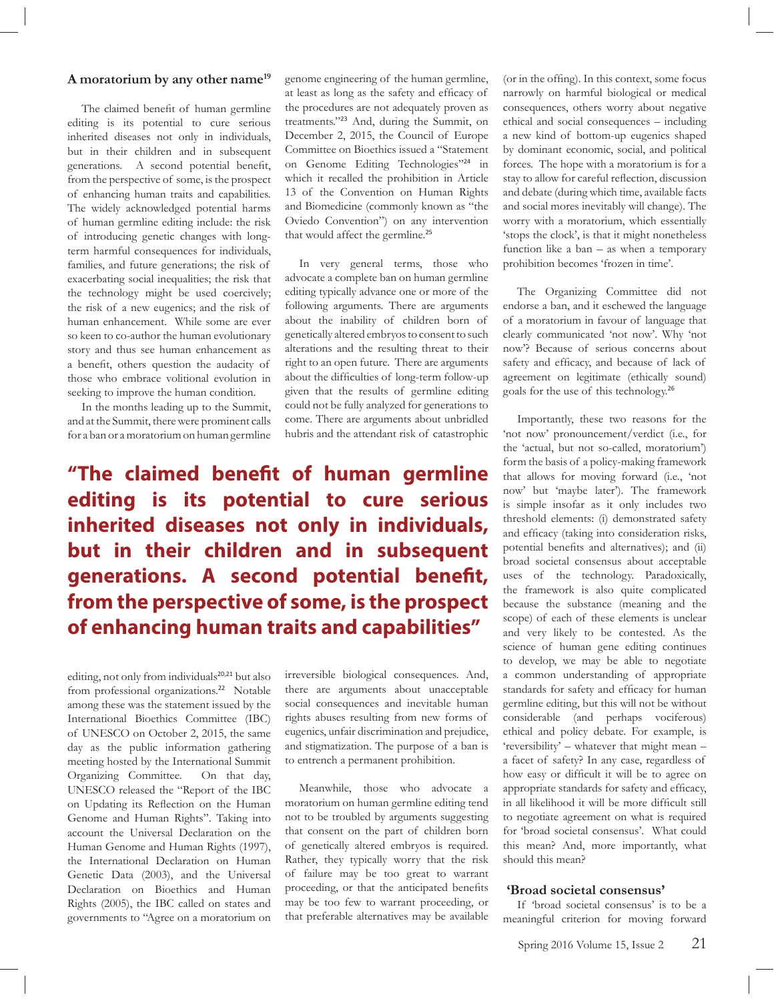#### **A moratorium by any other name19**

The claimed benefit of human germline editing is its potential to cure serious inherited diseases not only in individuals, but in their children and in subsequent generations. A second potential benefit, from the perspective of some, is the prospect of enhancing human traits and capabilities. The widely acknowledged potential harms of human germline editing include: the risk of introducing genetic changes with longterm harmful consequences for individuals, families, and future generations; the risk of exacerbating social inequalities; the risk that the technology might be used coercively; the risk of a new eugenics; and the risk of human enhancement. While some are ever so keen to co-author the human evolutionary story and thus see human enhancement as a benefit, others question the audacity of those who embrace volitional evolution in seeking to improve the human condition.

 In the months leading up to the Summit, and at the Summit, there were prominent calls for a ban or a moratorium on human germline

genome engineering of the human germline, at least as long as the safety and efficacy of the procedures are not adequately proven as treatments."<sup>23</sup> And, during the Summit, on December 2, 2015, the Council of Europe Committee on Bioethics issued a "Statement on Genome Editing Technologies"<sup>24</sup> in which it recalled the prohibition in Article 13 of the Convention on Human Rights and Biomedicine (commonly known as "the Oviedo Convention") on any intervention that would affect the germline.<sup>25</sup>

 In very general terms, those who advocate a complete ban on human germline editing typically advance one or more of the following arguments. There are arguments about the inability of children born of genetically altered embryos to consent to such alterations and the resulting threat to their right to an open future. There are arguments about the difficulties of long-term follow-up given that the results of germline editing could not be fully analyzed for generations to come. There are arguments about unbridled hubris and the attendant risk of catastrophic

**"The claimed benefit of human germline editing is its potential to cure serious inherited diseases not only in individuals, but in their children and in subsequent generations. A second potential benefit, from the perspective of some, is the prospect of enhancing human traits and capabilities"**

editing, not only from individuals<sup>20,21</sup> but also from professional organizations.<sup>22</sup> Notable among these was the statement issued by the International Bioethics Committee (IBC) of UNESCO on October 2, 2015, the same day as the public information gathering meeting hosted by the International Summit Organizing Committee. On that day, UNESCO released the "Report of the IBC on Updating its Reflection on the Human Genome and Human Rights". Taking into account the Universal Declaration on the Human Genome and Human Rights (1997), the International Declaration on Human Genetic Data (2003), and the Universal Declaration on Bioethics and Human Rights (2005), the IBC called on states and governments to "Agree on a moratorium on

irreversible biological consequences. And, there are arguments about unacceptable social consequences and inevitable human rights abuses resulting from new forms of eugenics, unfair discrimination and prejudice, and stigmatization. The purpose of a ban is to entrench a permanent prohibition.

 Meanwhile, those who advocate a moratorium on human germline editing tend not to be troubled by arguments suggesting that consent on the part of children born of genetically altered embryos is required. Rather, they typically worry that the risk of failure may be too great to warrant proceeding, or that the anticipated benefits may be too few to warrant proceeding, or that preferable alternatives may be available

(or in the offing). In this context, some focus narrowly on harmful biological or medical consequences, others worry about negative ethical and social consequences – including a new kind of bottom-up eugenics shaped by dominant economic, social, and political forces. The hope with a moratorium is for a stay to allow for careful reflection, discussion and debate (during which time, available facts and social mores inevitably will change). The worry with a moratorium, which essentially 'stops the clock', is that it might nonetheless function like a ban – as when a temporary prohibition becomes 'frozen in time'.

 The Organizing Committee did not endorse a ban, and it eschewed the language of a moratorium in favour of language that clearly communicated 'not now'. Why 'not now'? Because of serious concerns about safety and efficacy, and because of lack of agreement on legitimate (ethically sound) goals for the use of this technology.<sup>26</sup>

 Importantly, these two reasons for the 'not now' pronouncement/verdict (i.e., for the 'actual, but not so-called, moratorium') form the basis of a policy-making framework that allows for moving forward (i.e., 'not now' but 'maybe later'). The framework is simple insofar as it only includes two threshold elements: (i) demonstrated safety and efficacy (taking into consideration risks, potential benefits and alternatives); and (ii) broad societal consensus about acceptable uses of the technology. Paradoxically, the framework is also quite complicated because the substance (meaning and the scope) of each of these elements is unclear and very likely to be contested. As the science of human gene editing continues to develop, we may be able to negotiate a common understanding of appropriate standards for safety and efficacy for human germline editing, but this will not be without considerable (and perhaps vociferous) ethical and policy debate. For example, is 'reversibility' – whatever that might mean – a facet of safety? In any case, regardless of how easy or difficult it will be to agree on appropriate standards for safety and efficacy, in all likelihood it will be more difficult still to negotiate agreement on what is required for 'broad societal consensus'. What could this mean? And, more importantly, what should this mean?

#### **'Broad societal consensus'**

 If 'broad societal consensus' is to be a meaningful criterion for moving forward